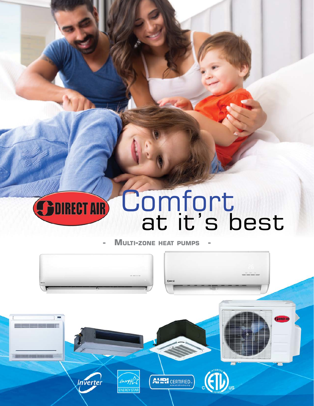### **Comfort SDIRECT AIR** at it's best

**MULTI-ZONE HEAT PUMPS** 

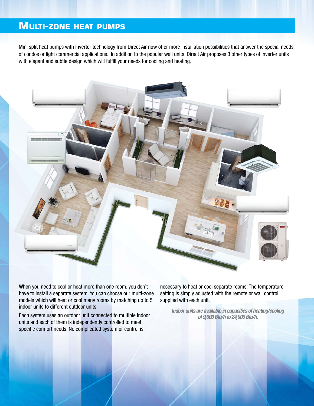#### **Multi-zone heat pumps**

Mini split heat pumps with Inverter technology from Direct Air now offer more installation possibilities that answer the special needs of condos or light commercial applications. In addition to the popular wall units, Direct Air proposes 3 other types of Inverter units with elegant and subtle design which will fulfill your needs for cooling and heating.



When you need to cool or heat more than one room, you don't have to install a separate system. You can choose our multi-zone models which will heat or cool many rooms by matching up to 5 indoor units to different outdoor units.

Each system uses an outdoor unit connected to multiple indoor units and each of them is independently controlled to meet specific comfort needs. No complicated system or control is

necessary to heat or cool separate rooms. The temperature setting is simply adjusted with the remote or wall control supplied with each unit.

*Indoor units are available in capacities of heating/cooling of 9,000 Btu/h to 24,000 Btu/h.*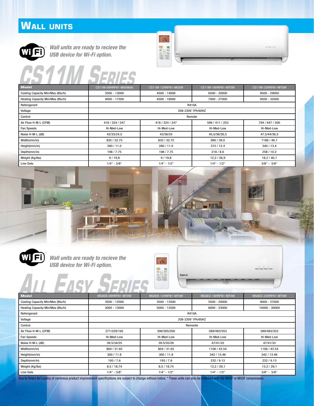#### **Wall units**



*Wall units are ready to recieve the USB device for Wi-Fi option.*

## **CS11M Series**



| <b>Model</b>                     | CS11M-09HRFN1-MX0W(A) | CS11M-12HRFN1-MU5W | CS11M-18HRFN1-MT0W | CS11M-23HRFN1-MT0W |
|----------------------------------|-----------------------|--------------------|--------------------|--------------------|
| Cooling Capacity Min/Max (Btu/h) | 3500 - 13000          | 4500 - 14000       | 6500 - 20000       | 9500 - 29000       |
| Heating Capacity Min/Max (Btu/h) | 4000 - 17500          | 4500 - 18000       | 7000 - 27000       | 9500 - 32000       |
| Referigerant                     |                       | R410A              |                    |                    |
| Voltage                          |                       | 208-230V 1Ph/60HZ  |                    |                    |
| Control                          |                       | Remote             |                    |                    |
| Air Flow H-M-L (CFM)             | 418 / 324 / 247       | 418 / 324 / 247    | 599 / 411 / 253    | 794 / 647 / 500    |
| Fan Speeds                       | Hi-Med-Low            | Hi-Med-Low         | Hi-Med-Low         | Hi-Med-Low         |
| Noise H-M-L (dB)                 | 42/33/24,5            | 43/36/24           | 45,5/36/26,5       | 47,5/44/36,5       |
| Width(mm/in)                     | 835 / 32.75           | 835 / 32.75        | 990 / 39.0         | 1186 / 46.7        |
| Height(mm/in)                    | 280/11.0              | 280/11.0           | 315/12.4           | 340 / 13.4         |
| Depth(mm/in)                     | 198/7.75              | 198/7.75           | 218/8.6            | 258 / 10.2         |
| Weight (Kg/lbs)                  | 9/19,8                | 9/19,8             | 12,2/26,9          | 18,2/40,1          |
| Line Sets                        | $1/4" - 3/8"$         | $1/4" - 1/2"$      | $1/4" - 1/2"$      | $3/8" - 5/8"$      |





*Wall units are ready to recieve the USB device for Wi-Fi option.*

**All Easy Series**



| <b>Model</b>                     | MSAEB-09HRFN1-MT0W | MSAEB-12HRFN1-MT0W | MSAED-18HRFN1-MT0W | MSAED-23HRFN1-MT0W |
|----------------------------------|--------------------|--------------------|--------------------|--------------------|
| Cooling Capacity Min/Max (Btu/h) | 3500 - 12000       | 3500 - 13500       | 5500 - 20000       | $9000 - 27000$     |
| Heating Capacity Min/Max (Btu/h) | 3000 - 13000       | 5000 - 13500       | $6000 - 23000$     | 10000 - 30000      |
| Referigerant                     |                    | R410A              |                    |                    |
| Voltage                          |                    | 208-230V 1Ph/60HZ  |                    |                    |
| Control                          |                    | Remonte            |                    |                    |
| Air Flow H-M-L (CFM)             | 271/229/165        | 306/265/200        | 589/483/353        | 589/483/353        |
| Fan Speeds                       | Hi-Med-Low         | Hi-Med-Low         | Hi-Med-Low         | Hi-Med-Low         |
| Noise H-M-L (dB)                 | 39.5/34/25         | 39.5/35/28         | 47/41/32           | 47/41/33           |
| Width(mm/in)                     | 804 / 31.65        | 804 / 31.65        | 1106 / 43.54       | 1106 / 43.54       |
| Height(mm/in)                    | 300 / 11.8         | 300/11.8           | 342 / 13.46        | 342 / 13.46        |
| Depth(mm/in)                     | 193/7.6            | 193/7.6            | 232 / 9.13         | 232 / 9.13         |
| Weight (Kg/Ibs)                  | 8,5/18,74          | 8,5/18,74          | 13,2/29,1          | 13,2/29,1          |
| Line Sets                        | $1/4" - 3/8"$      | $1/4" - 1/2"$      | $1/4" - 1/2"$      | $3/8" - 5/8"$      |

Due to Direct Air's policy of continous product improvement specifications are subject to change without notice. \* These units can onlu be matched with the M4OF or M5OF compressors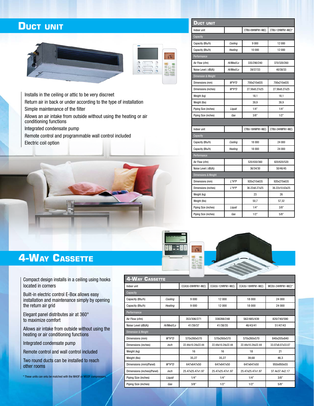#### **Duct unit**





Installs in the ceiling or attic to be very discreet

Return air in back or under according to the type of installation Simple maintenance of the filter

Allows an air intake from outside without using the heating or air conditioning functions

Integrated condensate pump

Remote control and programmable wall control included Electric coil option



| <b>DUCT UNIT</b>     |                   |                   |                    |  |
|----------------------|-------------------|-------------------|--------------------|--|
| Indoor unit          |                   | CTBU-09HWFN1-M(C) | CTBU-12HWFN1-M(C)* |  |
| Capacity             |                   |                   |                    |  |
| Capacity (Btu/h)     | Cooling           | 9000              | 12 000             |  |
| Capacity (Btu/h)     | 10 000<br>Heating |                   | 12 000             |  |
| Performance          |                   |                   |                    |  |
| Air Flow (cfm)       | Hi/Med/Lo         | 335/290/240       | 370/320/260        |  |
| Noise Level (dB(A))  | Hi/Med/Lo         | 39/37/33          | 40/38/33           |  |
| Dimension & Weight   |                   |                   |                    |  |
| Dimensions (mm)      | W*H*D             | 700x210x635       | 700x210x635        |  |
| Dimensions (inches)  | W*H*D             | 27.56x8.27x25     | 27.56x8.27x25      |  |
| Weight (kg)          |                   | 18,1              | 18,1               |  |
| Weight (lbs)         |                   | 39,9              | 39,9               |  |
| Piping Size (inches) | Liquid            | 1/4"              | 1/4"               |  |
| Piping Size (inches) | Gas               | 3/8"              | 1/2"               |  |
|                      |                   |                   |                    |  |
|                      |                   |                   |                    |  |
| Indoor unit          |                   | CTBU-18HWFN1-M(C) | CTBU-24HWFN1-M(C)  |  |
| Capacity             |                   |                   |                    |  |
| Capacity (Btu/h)     | Cooling           | 18 000            | 24 000             |  |
| Capacity (Btu/h)     | Heating           | 18 000            | 24 000             |  |
| Performance          |                   |                   |                    |  |
| Air Flow (cfm)       |                   | 520/430/360       | 820/620/520        |  |
| Noise Level (dB(A))  |                   | 36/34/30          | 50/46/45           |  |
| Dimensions & Weight  |                   |                   |                    |  |
| Dimensions (mm)      | L*H*P             | 920x210x635       | 920x270x635        |  |
| Dimensions (inches)  | L*H*P             | 36.22x8.27x25     | 36.22x10.63x25     |  |
| Weight (kg)          |                   | 23                | 26                 |  |
| Weight (lbs)         |                   | 50,7              | 57,32              |  |
| Piping Size (inches) | Liquid            | 1/4"              | 3/8"               |  |



#### **4-WAY CASSETTE**

Compact design installs in a ceiling using hooks located in corners

Built-in electric control E-Box allows easy installation and maintenance simply by opening the return air grid

Elegant panel distributes air at 360° to maximize comfort

Allows air intake from outside without using the heating or air conditioning functions

Integrated condensate pump

Remote control and wall control included

Two round ducts can be installed to reach other rooms

 $*$  These units can onlu be matched with the M40F  $\sigma$ 

| <b>4-WAY CASSETTE</b>      |           |                    |                    |                    |                    |  |  |
|----------------------------|-----------|--------------------|--------------------|--------------------|--------------------|--|--|
| Indoor unit                |           | CCA3U-09HRFN1-M(C) | CCA3U-12HRFN1-M(C) | CCA3U-18HRFN1-M(C) | MCDU-24HRFN1-M(C)* |  |  |
| Capacity                   |           |                    |                    |                    |                    |  |  |
| Capacity (Btu/h)           | Cooling   | 9 000              | 12 000             | 18 000             | 24 000             |  |  |
| Capacity (Btu/h)           | Heating   | 9 000              | 12 000             | 18 000             | 24 000             |  |  |
| Performance                |           |                    |                    |                    |                    |  |  |
| Air Flow (cfm)             |           | 353/306/271        | 338288/248         | 562/485/439        | 820/740/590        |  |  |
| Noise Level (dB(A))        | Hi/Med/Lo | 41/39/37           | 41/38/35           | 46/43/41           | 51/47/43           |  |  |
| Dimension & Weight         |           |                    |                    |                    |                    |  |  |
| Dimensions (mm)            | $W^*H^*D$ | 570x260x570        | 570x260x570        | 570x260x570        | 840x205x840        |  |  |
| Dimensions (inches)        | inch      | 22.44x10.24x22.44  | 22.44x10.24x22.44  | 22.44x10.24x22.44  | 33.07x8.07x33.07   |  |  |
| Weight (kg)                |           | 16                 | 16                 | 18                 | 21                 |  |  |
| Weight (lbs)               |           | 35.27              | 35.27              | 39.68              | 46,3               |  |  |
| Dimensions (mm)(Panel)     | $W^*H^*D$ | 647x647x50         | 647x647x50         | 647x647x50         | 950x950x55         |  |  |
| Dimensions (inches)(Panel) | inch      | 25.47x25.47x1.97   | 25.47x25.47x1.97   | 25.47x25.47x1.97   | 37.4x37.4x2.17     |  |  |
| Piping Size (inches)       | Liquid    | 1/4"               | 1/4"               | 1/4"               | 3/8"               |  |  |
| Piping Size (inches)       | Gas       | 3/8"               | 1/2"               | 1/2"               | 5/8"               |  |  |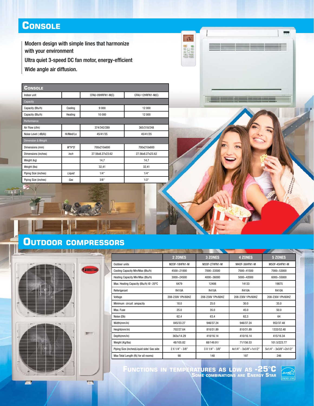#### **Console**

**IN** 

Modern design with simple lines that harmonize with your environment

Ultra quiet 3-speed DC fan motor, energy-efficient

Wide angle air diffusion.

| Console              |           |                   |                   |  |  |  |
|----------------------|-----------|-------------------|-------------------|--|--|--|
| Indoor unit          |           | CFAU-09HRFN1-M(C) | CFAU-12HRFN1-M(C) |  |  |  |
| Capacity             |           |                   |                   |  |  |  |
| Capacity (Btu/h)     | Cooling   | 9000              | 12 000            |  |  |  |
| Capacity (Btu/h)     | Heating   | 10 000            | 12 000            |  |  |  |
| Performance          |           |                   |                   |  |  |  |
| Air Flow (cfm)       |           | 374/342/289       | 365/318/248       |  |  |  |
| Noise Level (dB(A))  | Hi/Med/Lo | 45/41/35          | 45/41/35          |  |  |  |
| Dimension & Weight   |           |                   |                   |  |  |  |
| Dimensions (mm)      | $W^*H^*D$ | 700x210x600       | 700x210x600       |  |  |  |
| Dimensions (inches)  | inch      | 27.56x8.27x23.62  | 27.56x8.27x23.62  |  |  |  |
| Weight (kg)          |           | 14,7              | 14,7              |  |  |  |
| Weight (lbs)         |           | 32,41             | 32,41             |  |  |  |
| Piping Size (inches) | Liquid    | 1/4"              | 1/4"              |  |  |  |
| Piping Size (inches) | Gas       | 3/8"              | 1/2"              |  |  |  |





|                                           | 2 ZONES           | 3 ZONES           | <b>4 ZONES</b>             | 5 ZONES                |
|-------------------------------------------|-------------------|-------------------|----------------------------|------------------------|
| Outdoor units                             | M20F-18HFN1-M     | M30F-27HFN1-M     | M40F-36HFN1-M              | M50F-45HFN1-M          |
| Cooling Capacity Min/Max (Btu/h)          | 4500~21000        | 7000~33500        | 7000~41500                 | 7000~53000             |
| Heating Capacity Min/Max (Btu/h)          | 3000~24500        | 4000~36000        | 5000~42000                 | 6000~55000             |
| Max. Heating Capacity (Btu/h) @ -20°C     | 6479              | 12406             | 14133                      | 19875                  |
| Referigerant                              | R410A             | R410A             | R410A                      | R410A                  |
| Voltage                                   | 208-230V 1Ph/60HZ | 208-230V 1Ph/60HZ | 208-230V 1Ph/60HZ          | 208-230V 1Ph/60HZ      |
| Minimum circuit ampacity                  | 18.0              | 25.0              | 30.0                       | 35.0                   |
| Max. Fuse                                 | 25.0              | 35.0              | 45.0                       | 50.0                   |
| Noise (Db)                                | 62,4              | 63.4              | 62,3                       | 64                     |
| Width(mm/in)                              | 845/33.27         | 946/37.24         | 946/37.24                  | 952/37.48              |
| Height(mm/in)                             | 702/27.64         | 810/31.89         | 810/31.89                  | 1333/52.48             |
| Depth(mm/in)                              | 363x/14.29        | 410/16.14         | 410/16.14                  | 415/16.34              |
| Weight (Kg/lbs)                           | 48/105.82         | 68/149.91/        | 71/156.53                  | 101.5/223.77           |
| Piping Size (inches)Liquid side/ Gas side | $2 X 1/4" - 3/8"$ | $3 X 1/4" - 3/8"$ | $4x1/4" - 3x3/8" + 1x1/2"$ | 5x1/4" - 3x3/8"+2x1/2" |
| Max Total Length (ft)( for all rooms)     | 98                | 148               | 197                        | 246                    |

 $\sqrt{36}$ 

**BUDE**<br>**BELLE**